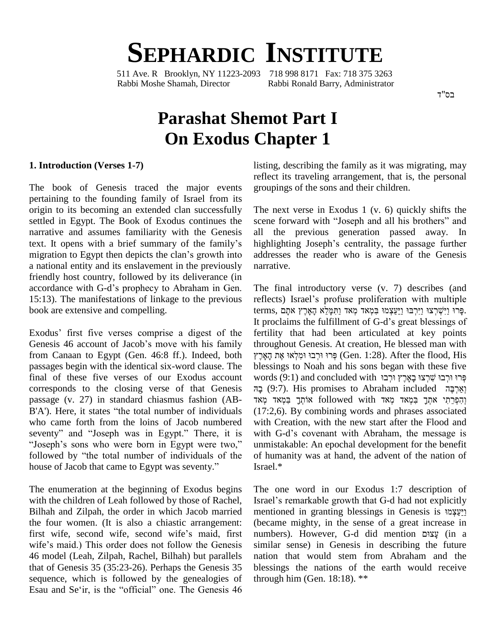# **SEPHARDIC INSTITUTE**

511 Ave. R Brooklyn, NY 11223-2093 718 998 8171 Fax: 718 375 3263 Rabbi Moshe Shamah, Director Rabbi Ronald Barry, Administrator

בס"ד

# **Parashat Shemot Part I On Exodus Chapter 1**

#### **1. Introduction (Verses 1-7)**

The book of Genesis traced the major events pertaining to the founding family of Israel from its origin to its becoming an extended clan successfully settled in Egypt. The Book of Exodus continues the scene<br>narrative and assumes familiarity with the Genesis all<br>text. It opens with a brief summary of the family's highl narrative and assumes familiarity with the Genesis text. It opens with a brief summary of the family's migration to Egypt then depicts the clan's growth into a national entity and its enslavement in the previously narratifiendly host country, followed by its deliverance (in accordance with G-d's prophecy to Abraham in Gen. The f friendly host country, followed by its deliverance (in 15:13). The manifestations of linkage to the previous book are extensive and compelling. book are extensive and compelling. The terms<br>
It provides a digest of the fertility<br>
Exodus' first five verses comprise a digest of the fertility

It process of the Trendals and Trendals and Trendals and Trendals and Section School of Jacob's move with his family through from Canaan to Egypt (Gen. 46:8 ff.). Indeed, both passages begin with the identical six-word clause. The final of these five verses of our Exodus account corresponds to the closing verse of that Genesis הָאד<br>passage (v. 27) in standard chiasmus fashion (AB-<br>B'A'). Here, it states "the total number of individuals (17: passage (v. 27) in standard chiasmus fashion (AB who came forth from the loins of Jacob numbered with C<br>seventy" and "Joseph was in Egypt." There, it is with C<br>"Joseph's sons who were born in Egypt were two." unmis B'A'). Here, it states "the total number of individuals (17:2,6). By combining words and phrases associated who came forth from the loins of Jacob numbered with Creation, with the new start after the Flood and seventy" and seventy" and "Joseph was in Egypt." There, it is with "Joseph's sons who were born in Egypt were two," unmi<br>followed by "the total number of individuals of the of hu "Joseph's sons who were born in Egypt were two,"<br>followed by "the total number of individuals of the<br>house of Jacob that came to Egypt was seventy."

The enumeration at the beginning of Exodus begins with the children of Leah followed by those of Rachel, Israel's remarkable growth that G-d had not explicitly Bilhah and Zilpah, the order in which Jacob married mention<br>the four women. (It is also a chiastic arrangement: (becar<br>first wife, second wife, second wife's maid, first numbe the four women. (It is also a chiastic arrangement: first wife, second wife, second wife's maid, first numbers). However, G-d did mention עֲצוּם (in a wife's maid.) This order does not follow the Genesis similar sense) in Genesis in describing the future 46 model (Leah, Zilpah, Rachel, Bilhah) but parallels that of Genesis 35 (35:23-26). Perhaps the Genesis 35 sequence, which is followed by the genealogies of Esau and Se'ir, is the "official" one. The Genesis 46

listing, describing the family as it was migrating, may reflect its traveling arrangement, that is, the personal groupings of the sons and their children.

The next verse in Exodus 1 (v. 6) quickly shifts the scene forward with "Joseph and all his brothers" and all the previous generation passed away. In highlighting Joseph's centrality, the passage further addresses the reader who is aware of the Genesis narrative.

The final introductory verse (v. 7) describes (and The final introductory verse (v. 7) describes (and<br>reflects) Israel's profuse proliferation with multiple The final introductory verse  $(v, 7)$  describes (and reflects) Israel's profuse proliferation with multiple terms, פְּרוּ יַיִּשְׁבְּיַוּ יַיַּעֲצָמּוּ בִּמְאד מְאד מִתְּמָּלֵא הָאָרֶץ אתָם reflects) Israel's profuse proliferation with multiple<br>terms, פְּרוּ וַיִּשְׁרְצוּ וַיַּרְבּוּ וַיַּעֲצְמוּ בִּמְאד מְאד וַתִּמְּלֵא הָאָרֶץ אתָם.<br>It proclaims the fulfillment of G-d's great blessings of fertility that had been articulated at key points<br>throughout Genesis. At creation, He blessed man with<br>הָּרוּ וּרְבוּ וּמִלְאוּ אֶת הָאָרָץ (Gen. 1:28). After the flood, His throughout Genesis. At creation, He blessed man with blessings to Noah and his sons began with these five<br>היו וּרְבוּ שִׁרְצוּ בָאָרֶץ וּרְבוּ (9:1) and concluded with הְּרוּ שִׁרְצוּ בָאָרֶץ וּ רוּ וּרְבוּ וּמִלְאוּ אֵת הָאֲרֵץ (Gen. 1:28). After the flood, His words (9:1) and concluded with פרו ורבו שרצו בארץ ורבו ʣʠʮʍˎʑ ʪʕʺʍˣʠ followed with ʣʠʮʍ ʣʠʮʍˎʑ ʪʕʺʍʠ ʩʺʑʸʒʴʍʤʑʍʥ (17:2,6). By combining words and phrases associated with G-dís covenant with Abraham, the message is with Creation, with the new start after the Flood and unmistakable: An epochal development for the benefit of humanity was at hand, the advent of the nation of Israel.\*

The one word in our Exodus 1:7 description of The one word in our Exodus 1:7 description of<br>Israel's remarkable growth that G-d had not explicitly mentioned in our Exodus 1:7 description of Israel's remarkable growth that G-d had not explicitly<br>mentioned in granting blessings in Genesis is יַעֲצָמֵן (became mighty, in the sense of a great increase in mentioned in granting blessings in Genesis is יַיַּעֲצְמוּ (became mighty, in the sense of a great increase in<br>numbers). However, G-d did mention עֲצוּם (in a similar sense) in Genesis in describing the future nation that would stem from Abraham and the blessings the nations of the earth would receive through him (Gen. 18:18). \*\*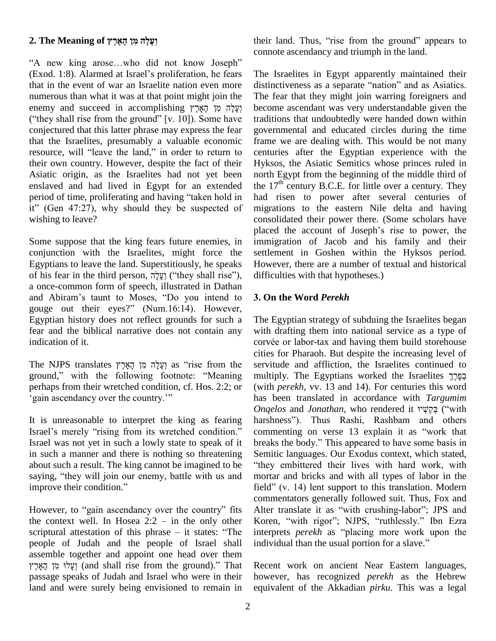# **2.** The Meaning of יִעֲלָה מִן הָאָרֶץ

"A new king arose...who did not know Joseph" (Exod. 1:8). Alarmed at Israel's proliferation, he fears that in the event of war an Israelite nation even more numerous than what it was at that point might join the The 1 that in the event of war an Israelite nation even more di<br>numerous than what it was at that point might join the Thenemy and succeed in accomplishing  $\gamma$ יָעֲלָה מִן הָאָרָ numerous than what it was at that point might join the The 1<br>enemy and succeed in accomplishing וְעָלָה מִן הָאָרָץ<br>(they shall rise from the ground'' [v. 10]). Some have tradit conjectured that this latter phrase may express the fear that the Israelites, presumably a valuable economic conjectured that this latter phrase may express the fear governed that the Israelites, presumably a valuable economic frame resource, will "leave the land," in order to return to centure their own country. However, despite the fact of their Asiatic origin, as the Israelites had not yet been enslaved and had lived in Egypt for an extended Asiatic origin, as the Israelites had not yet been north enslaved and had lived in Egypt for an extended the 17 period of time, proliferating and having "taken hold in had enslaved and had lived in Egypt for an extended the period of time, proliferating and having "taken hold in had it" (Gen 47:27), why should they be suspected of mig wishing to leave?

Some suppose that the king fears future enemies, in conjunction with the Israelites, might force the settle Egyptians to leave the land. Superstitiously, he speaks Howe<br>of his fear in the third person, פִצְלָה, ("they shall rise"), diffic Egyptians to leave the land. Superstitiously, he speaks a once-common form of speech, illustrated in Dathan<br>and Abiram's taunt to Moses, "Do you intend to **3. On**<br>gouge out their eyes?" (Num.16:14). However, of his fear in the third person,  $\vec{\eta}$ יָעֲלָה ("they shall rise"), a once-common form of speech, illustrated in Dathan and Abiram's taunt to Moses, "Do you intend to Egyptian history does not reflect grounds for such a fear and the biblical narrative does not contain any indication of it.

indication of it.<br>cities f<br>The NJPS translates יְעָלָה מִן הָאָרָץ as "rise from the servitu cities<br>ground," with the following footnote: "Meaning multip"<br>multip footnote: "Meaning multip" perhaps from their wretched condition, cf. Hos. 2:2; or ground," with the following footnote:<br>perhaps from their wretched condition, cf. He<br>'gain ascendancy over the country.'"

It is unreasonable to interpret the king as fearing harshness"). Thus Rashi, Rashbam and others Israel was not yet in such a lowly state to speak of it in such a manner and there is nothing so threatening Semitic languages. Our Exodus context, which stated, about such a result. The king cannot be imagined to be in such a manner and there is nothing so threatening Semitiabout such a result. The king cannot be imagined to be "they saying, "they will join our enemy, battle with us and mortal about such a result. The king can<br>saying, "they will join our enem<br>improve their condition." improve their condition." field<br>
field<br>
However, to "gain ascendancy over the country" fits Alte

com<br>However, to "gain ascendancy over the country" fits Alt<br>the context well. In Hosea 2:2 – in the only other Ko However, to "gain ascendancy over the country" fits Alter<br>the context well. In Hosea  $2:2 -$  in the only other Kore<br>scriptural attestation of this phrase  $-$  it states: "The interp people of Judah and the people of Israel shall in assemble together and appoint one head over them<br>וַעֲלוּ מִן הָאָרָץ (and shall rise from the ground)." That Re assemble together and appoint one head over them passage speaks of Judah and Israel who were in their land and were surely being envisioned to remain in

their land. Thus, "rise from the ground" appears to connote ascendancy and triumph in the land.

The Israelites in Egypt apparently maintained their distinctiveness as a separate "nation" and as Asiatics. The fear that they might join warring foreigners and become ascendant was very understandable given the traditions that undoubtedly were handed down within governmental and educated circles during the time frame we are dealing with. This would be not many centuries after the Egyptian experience with the Hyksos, the Asiatic Semitics whose princes ruled in north Egypt from the beginning of the middle third of the  $17<sup>th</sup>$  century B.C.E. for little over a century. They had risen to power after several centuries of migrations to the eastern Nile delta and having consolidated their power there. (Some scholars have placed the account of Joseph's rise to power, the immigration of Jacob and his family and their settlement in Goshen within the Hyksos period. However, there are a number of textual and historical difficulties with that hypotheses.)

## **. On the Word** *Perekh*

It is unreasonable to interpret the king as fearing *Onqelos* and *Jonathan*, who rendered it *ivia*  $\frac{1}{2}$  ("with It is unreasonable to interpret the king as fearing harshness"). Thus Rashi, Rashbam and others Israel' The Egyptian strategy of subduing the Israelites began with drafting them into national service as a type of corvée or labor-tax and having them build storehouse cities for Pharaoh. But despite the increasing level of servitude and affliction, the Israelites continued to multiply. The Egyptians worked the Israelites  $\frac{25}{7}$ servitude and affliction, the Israelites continued to (with *perekh*, vv. 13 and 14). For centuries this word has been translated in accordance with *Targumim Onqelos* and *Jonathan*, who rendered it γ<sup>γ</sup>ρφ ("with has been translated in accordance with *Targumim* harshnessî). Thus Rashi, Rashbam and others *Onqelos* and *Jonathan*, who rendered it אֲבַן ("with harshness"). Thus Rashi, Rashbam and others commenting on verse 13 explain it as "work that harshness"). Thus Rashi, Rashbam and others<br>commenting on verse 13 explain it as "work that<br>breaks the body." This appeared to have some basis in breaks the body." This appeared to have some basis in<br>Semitic languages. Our Exodus context, which stated,<br>"they embittered their lives with hard work, with mortar and bricks and with all types of labor in the "they embittered their lives with hard work, with commentators generally followed suit. Thus, Fox and field" (v. 14) lent support to this translation. Modern<br>commentators generally followed suit. Thus, Fox and<br>Alter translate it as "with crushing-labor"; JPS and commentators generally followed suit. Thus, Fox and<br>Alter translate it as "with crushing-labor"; JPS and<br>Koren, "with rigor"; NJPS, "ruthlessly." Ibn Ezra Alter translate it as "with crushing-labor"; JPS and Koren, "with rigor"; NJPS, "ruthlessly." Ibn Ezra interprets *perekh* as "placing more work upon the Koren, "with rigor"; NJPS, "ruthlessly." Ibn Ezi<br>interprets *perekh* as "placing more work upon th<br>individual than the usual portion for a slave."

> Recent work on ancient Near Eastern languages, however, has recognized *perekh* as the Hebrew equivalent of the Akkadian *pirku*. This was a legal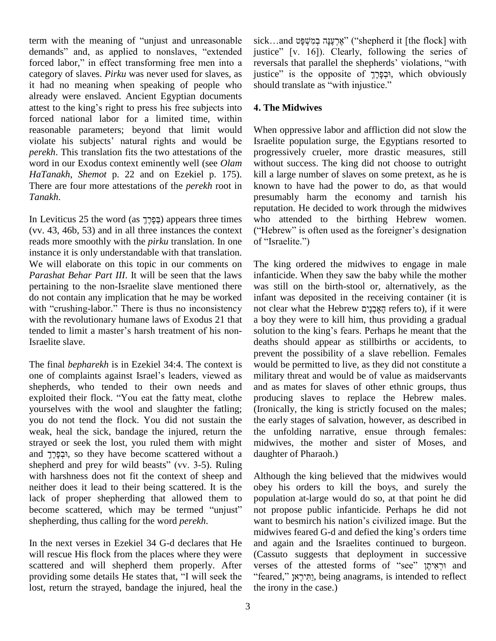term with the meaning of "unjust and unreasonable" demands" and, as applied to nonslaves, "extended forced labor," in effect transforming free men into a category of slaves. *Pirku* was never used for slaves, as it had no meaning when speaking of people who should<br>already were enslaved. Ancient Egyptian documents<br>attest to the king's right to press his free subjects into 4. The already were enslaved. Ancient Egyptian documents forced national labor for a limited time, within reasonable parameters; beyond that limit would violate his subjects' natural rights and would be *perekh*. This translation fits the two attestations of the word in our Exodus context eminently well (see *Olam HaTanakh*, *Shemot* p. 22 and on Ezekiel p. 175). There are four more attestations of the *perekh* root in *Tanakh*.

In Leviticus  $25$  the word (as נְּפַּרֵךְ) appears three times (vv. 43, 46b, 53) and in all three instances the context reads more smoothly with the *pirku* translation. In one of "Israelite.") instance it is only understandable with that translation. We will elaborate on this topic in our comments on *Parashat Behar Part III*. It will be seen that the laws pertaining to the non-Israelite slave mentioned there do not contain any implication that he may be worked pertaining to the non-Israelite slave mentioned there was s<br>do not contain any implication that he may be worked infant<br>with "crushing-labor." There is thus no inconsistency not cle with the revolutionary humane laws of Exodus 21 that a with "crushing-labor." There is thus no inconsistency<br>with the revolutionary humane laws of Exodus 21 that<br>tended to limit a master's harsh treatment of his non-Israelite slave.

The final *bepharekh* is in Ezekiel 34:4. The context is prev<br>The final *bepharekh* is in Ezekiel 34:4. The context is wou<br>one of complaints against Israel's leaders, viewed as mili shepherds, who tended to their own needs and one of complaints against Israel's leaders, viewed as shepherds, who tended to their own needs and exploited their flock. "You eat the fatty meat, clothe yourselves with the wool and slaughter the fatling; you do not tend the flock. You did not sustain the weak, heal the sick, bandage the injured, return the strayed or seek the lost, you ruled them with might weak, heal the sick, bandage the injured, return the the strayed or seek the lost, you ruled them with might midw<br>and יִבְפָּרֶךְ, so they have become scattered without a daugle strayed or seek the lost, you ruled them with might midwi<br>and הִבְפָּרֶךְ, so they have become scattered without a daugh<br>shepherd and prey for wild beasts" (vv. 3-5). Ruling with harshness does not fit the context of sheep and neither does it lead to their being scattered. It is the obey<br>lack of proper shepherding that allowed them to popu<br>become scattered, which may be termed "unjust" not p lack of proper shepherding that allowed them to shepherding, thus calling for the word *perekh*.

In the next verses in Ezekiel 34 G-d declares that He will rescue His flock from the places where they were scattered and will shepherd them properly. After providing some details He states that, "I will seek the "feared," וְתִּירֵאן being anagrams, is intended to reflect lost, return the strayed, bandage the injured, heal the

sick...and אֲרִעֲנָּה בְמִשְׁפַּט ('shepherd it [the flock] with  $\rm{kick}$ אֵרְעֶנָּה בְמִשְׁפָּט (''shepherd it [the flock] with<br>justice'' [v. 16]). Clearly, following the series of sick...and אֶרְעֶנָּה בְמִשְׁפָּט ("shepherd it [the flock] with<br>justice" [v. 16]). Clearly, following the series of<br>reversals that parallel the shepherds' violations, "with justice" [v. 16]). Clearly, following the series of reversals that parallel the shepherds' violations, "with justice" is the opposite of  $\frac{1}{2}$ יִבְרֶךְ, which obviously reversals that parallel the shepherds' violations, "with justice" is the opposite of הֲבָּכֶךָ, which obviously should translate as "with injustice."

### **. The Midwives**

When oppressive labor and affliction did not slow the Israelite population surge, the Egyptians resorted to progressively crueler, more drastic measures, still without success. The king did not choose to outright kill a large number of slaves on some pretext, as he is known to have had the power to do, as that would presumably harm the economy and tarnish his reputation. He decided to work through the midwives who attended to the birthing Hebrew women. reputation. He decided to work through the midwives<br>who attended to the birthing Hebrew women.<br>("Hebrew" is often used as the foreigner's designation who attended to<br>("Hebrew" is often u<br>of "Israelite.")

The king ordered the midwives to engage in male infanticide. When they saw the baby while the mother was still on the birth-stool or, alternatively, as the infant was deposited in the receiving container (it is not clear what the Hebrew הָאָבְנָיִם refers to), if it were infant was deposited in the receiving container (it is a boy they were to kill him, thus providing a gradual not clear what the Hebrew הָאָבְנָיִם refers to), if it were a boy they were to kill him, thus providing a gradual solution to the king's fears. Perhaps he meant that the deaths should appear as stillbirths or accidents, to prevent the possibility of a slave rebellion. Females would be permitted to live, as they did not constitute a military threat and would be of value as maidservants and as mates for slaves of other ethnic groups, thus producing slaves to replace the Hebrew males. (Ironically, the king is strictly focused on the males; the early stages of salvation, however, as described in the unfolding narrative, ensue through females: midwives, the mother and sister of Moses, and daughter of Pharaoh.)

Although the king believed that the midwives would obey his orders to kill the boys, and surely the population at-large would do so, at that point he did not propose public infanticide. Perhaps he did not population at-large would do so, at that point he did<br>not propose public infanticide. Perhaps he did not<br>want to besmirch his nation's civilized image. But the not propose public infanticide. Perhaps he did not<br>want to besmirch his nation's civilized image. But the<br>midwives feared G-d and defied the king's orders time and again and the Israelites continued to burgeon. (Cassuto suggests that deployment in successive and again and the Israelites continued to burgeon.<br>(Cassuto suggests that deployment in successive verses of the attested forms of "see" וּרְאִיחָן and suggests that deployment in successive<br>  $\tilde{c}$  the attested forms of "see" וּרְאִיתָן and<br>
וַתְּירָאָן, being anagrams, is intended to reflect the irony in the case.)